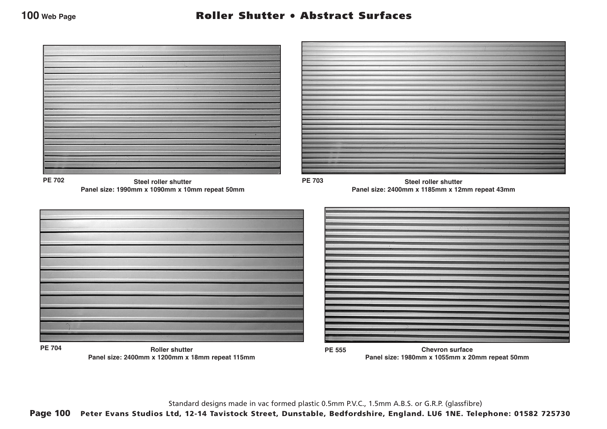

Standard designs made in vac formed plastic 0.5mm P.V.C., 1.5mm A.B.S. or G.R.P. (glassfibre)

Page 100 Peter Evans Studios Ltd, 12-14 Tavistock Street, Dunstable, Bedfordshire, England. LU6 1NE. Telephone: 01582 725730